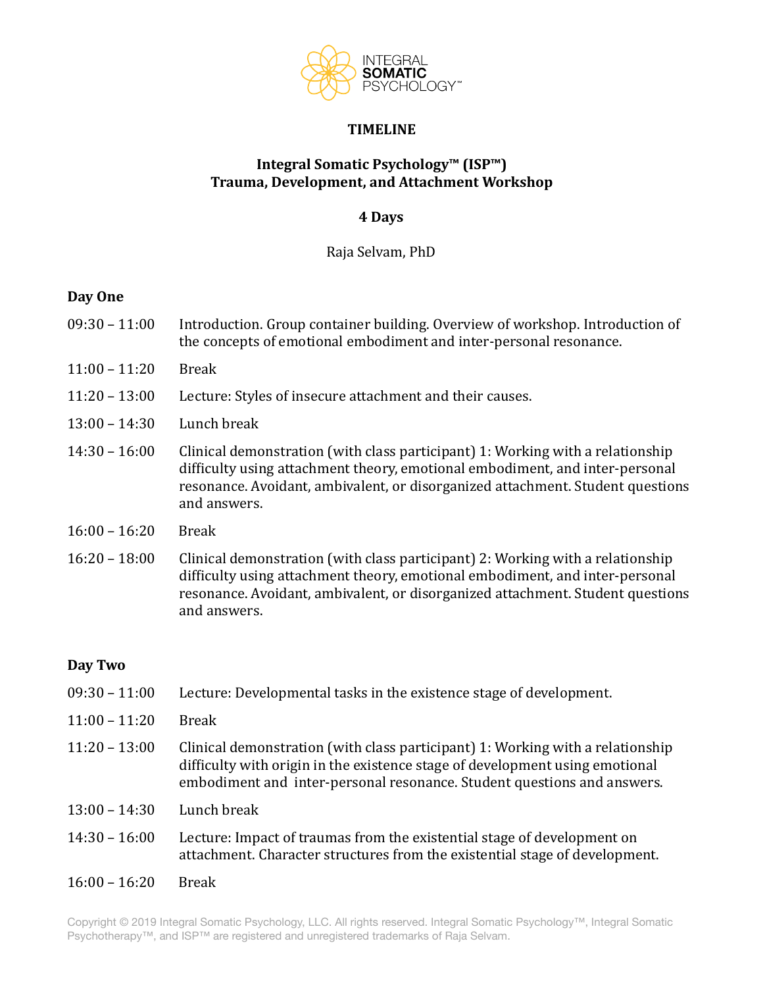

### **TIMELINE**

# **Integral Somatic Psychology™ (ISP™) Trauma, Development, and Attachment Workshop**

### **4 Days**

Raja Selvam, PhD 

# **Day One**

- $09:30 11:00$  Introduction. Group container building. Overview of workshop. Introduction of the concepts of emotional embodiment and inter-personal resonance.
- $11:00 11:20$  Break
- 11:20 13:00 Lecture: Styles of insecure attachment and their causes.
- $13:00 14:30$  Lunch break
- 14:30 16:00 Clinical demonstration (with class participant) 1: Working with a relationship difficulty using attachment theory, emotional embodiment, and inter-personal resonance. Avoidant, ambivalent, or disorganized attachment. Student questions and answers.
- $16:00 16:20$  Break
- $16:20 18:00$  Clinical demonstration (with class participant) 2: Working with a relationship difficulty using attachment theory, emotional embodiment, and inter-personal resonance. Avoidant, ambivalent, or disorganized attachment. Student questions and answers.

# Day Two

- $09:30 11:00$  Lecture: Developmental tasks in the existence stage of development.
- $11:00 11:20$  Break
- $11:20 13:00$  Clinical demonstration (with class participant) 1: Working with a relationship difficulty with origin in the existence stage of development using emotional embodiment and inter-personal resonance. Student questions and answers.
- $13:00 14:30$  Lunch break
- 14:30 16:00 Lecture: Impact of traumas from the existential stage of development on attachment. Character structures from the existential stage of development.
- $16:00 16:20$  Break